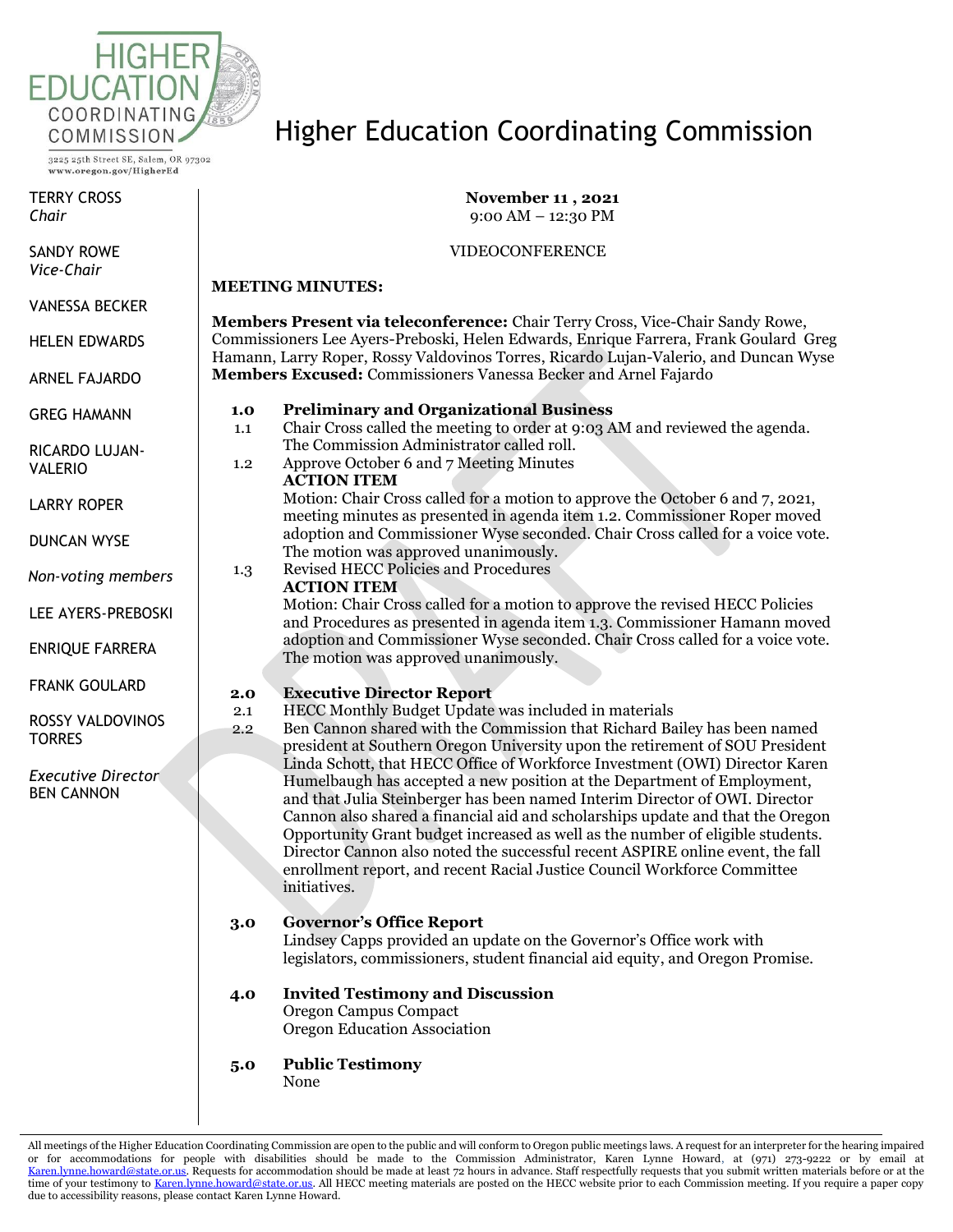

3225 25th Street SE, Salem, OR 97302 www.oregon.gov/HigherEd

TERRY CROSS *Chair*

SANDY ROWE *Vice-Chair*

VANESSA BECKER

HELEN EDWARDS

ARNEL FAJARDO

GREG HAMANN

RICARDO LUJAN-VALERIO

LARRY ROPER

DUNCAN WYSE

*Non-voting members*

LEE AYERS-PREBOSKI

ENRIQUE FARRERA

FRANK GOULARD

ROSSY VALDOVINOS **TORRES** 

*Executive Director* BEN CANNON

## Higher Education Coordinating Commission

**November 11 , 2021** 9:00 AM – 12:30 PM

#### VIDEOCONFERENCE

#### **MEETING MINUTES:**

**Members Present via teleconference:** Chair Terry Cross, Vice-Chair Sandy Rowe, Commissioners Lee Ayers-Preboski, Helen Edwards, Enrique Farrera, Frank Goulard Greg Hamann, Larry Roper, Rossy Valdovinos Torres, Ricardo Lujan-Valerio, and Duncan Wyse **Members Excused:** Commissioners Vanessa Becker and Arnel Fajardo

#### **1.0 Preliminary and Organizational Business**

- 1.1 Chair Cross called the meeting to order at 9:03 AM and reviewed the agenda. The Commission Administrator called roll.
- 1.2 Approve October 6 and 7 Meeting Minutes

## **ACTION ITEM**

Motion: Chair Cross called for a motion to approve the October 6 and 7, 2021, meeting minutes as presented in agenda item 1.2. Commissioner Roper moved adoption and Commissioner Wyse seconded. Chair Cross called for a voice vote. The motion was approved unanimously.

1.3 Revised HECC Policies and Procedures

#### **ACTION ITEM**

Motion: Chair Cross called for a motion to approve the revised HECC Policies and Procedures as presented in agenda item 1.3. Commissioner Hamann moved adoption and Commissioner Wyse seconded. Chair Cross called for a voice vote. The motion was approved unanimously.

## **2.0 Executive Director Report**

2.1 HECC Monthly Budget Update was included in materials 2.2 Ben Cannon shared with the Commission that Richard Bailey has been named president at Southern Oregon University upon the retirement of SOU President Linda Schott, that HECC Office of Workforce Investment (OWI) Director Karen

Humelbaugh has accepted a new position at the Department of Employment, and that Julia Steinberger has been named Interim Director of OWI. Director Cannon also shared a financial aid and scholarships update and that the Oregon Opportunity Grant budget increased as well as the number of eligible students. Director Cannon also noted the successful recent ASPIRE online event, the fall enrollment report, and recent Racial Justice Council Workforce Committee initiatives.

## **3.0 Governor's Office Report**

Lindsey Capps provided an update on the Governor's Office work with legislators, commissioners, student financial aid equity, and Oregon Promise.

## **4.0 Invited Testimony and Discussion**

Oregon Campus Compact Oregon Education Association

#### **5.0 Public Testimony** None

All meetings of the Higher Education Coordinating Commission are open to the public and will conform to Oregon public meetings laws. A request for an interpreter for the hearing impaired or for accommodations for people with disabilities should be made to the Commission Administrator, Karen Lynne Howard, at (971) 273-9222 or by email at [Karen.lynne.howard@state.or.us.](mailto:Karen.lynne.howard@state.or.us) Requests for accommodation should be made at least 72 hours in advance. Staff respectfully requests that you submit written materials before or at the time of your testimony t[o Karen.lynne.howard@state.or.us.](mailto:Karen.lynne.howard@state.or.us) All HECC meeting materials are posted on the HECC website prior to each Commission meeting. If you require a paper copy due to accessibility reasons, please contact Karen Lynne Howard.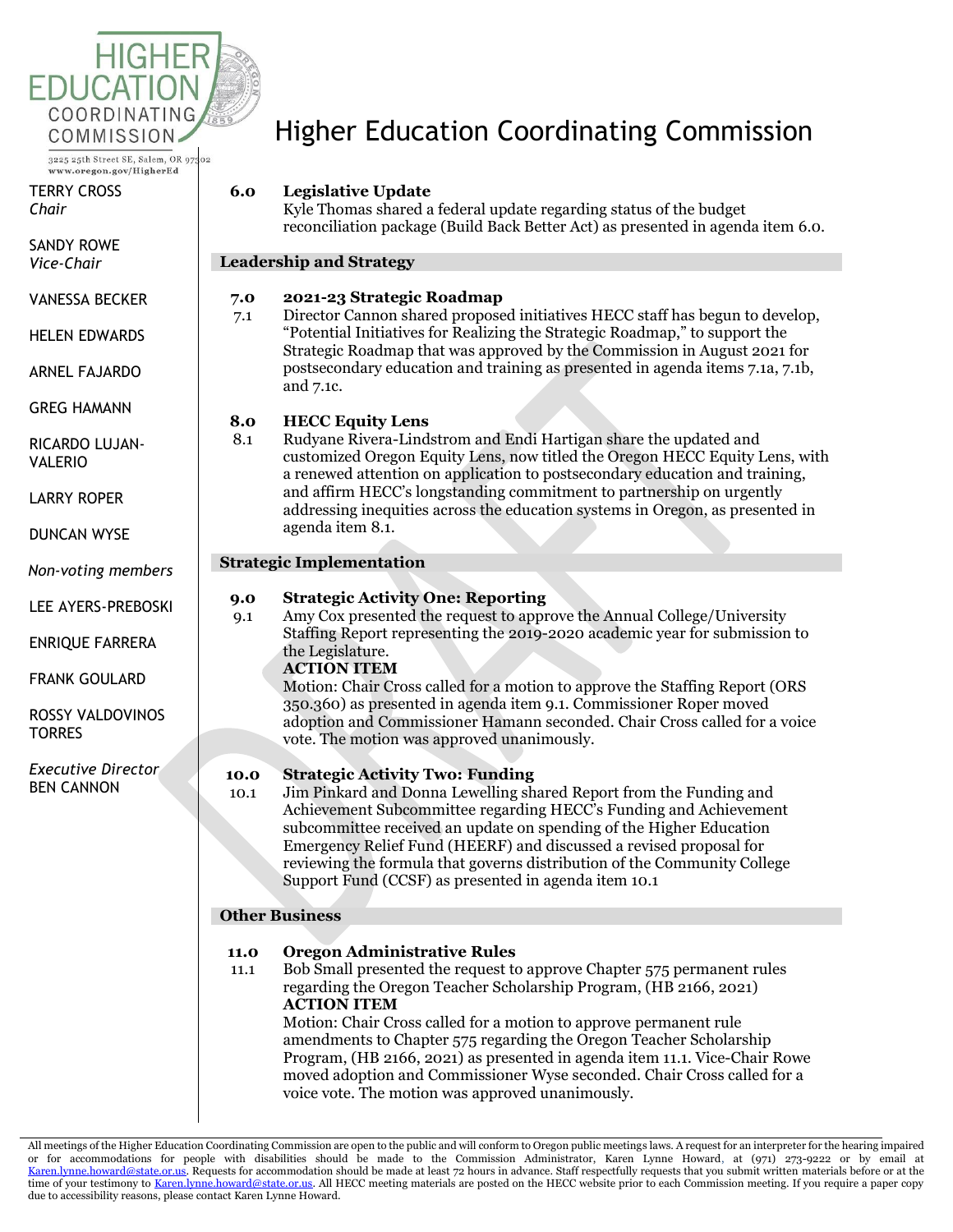

3225 25th Street SE, Salem, OR 97302 www.oregon.gov/HigherEd

TERRY CROSS *Chair*

SANDY ROWE *Vice-Chair*

VANESSA BECKER

HELEN EDWARDS

ARNEL FAJARDO

GREG HAMANN

RICARDO LUJAN-VALERIO

LARRY ROPER

DUNCAN WYSE

*Non-voting members*

LEE AYERS-PREBOSKI

ENRIQUE FARRERA

FRANK GOULARD

ROSSY VALDOVINOS **TORRES** 

*Executive Director* BEN CANNON

# Higher Education Coordinating Commission

## **6.0 Legislative Update**

Kyle Thomas shared a federal update regarding status of the budget reconciliation package (Build Back Better Act) as presented in agenda item 6.0.

#### **Leadership and Strategy**

## **7.0 2021-23 Strategic Roadmap**

7.1 Director Cannon shared proposed initiatives HECC staff has begun to develop, "Potential Initiatives for Realizing the Strategic Roadmap," to support the Strategic Roadmap that was approved by the Commission in August 2021 for postsecondary education and training as presented in agenda items 7.1a, 7.1b, and 7.1c.

## **8.0 HECC Equity Lens**

8.1 Rudyane Rivera-Lindstrom and Endi Hartigan share the updated and customized Oregon Equity Lens, now titled the Oregon HECC Equity Lens, with a renewed attention on application to postsecondary education and training, and affirm HECC's longstanding commitment to partnership on urgently addressing inequities across the education systems in Oregon, as presented in agenda item 8.1.

## **Strategic Implementation**

#### **9.0 Strategic Activity One: Reporting**

9.1 Amy Cox presented the request to approve the Annual College/University Staffing Report representing the 2019-2020 academic year for submission to the Legislature.

## **ACTION ITEM**

Motion: Chair Cross called for a motion to approve the Staffing Report (ORS 350.360) as presented in agenda item 9.1. Commissioner Roper moved adoption and Commissioner Hamann seconded. Chair Cross called for a voice vote. The motion was approved unanimously.

## **10.0 Strategic Activity Two: Funding**

10.1 Jim Pinkard and Donna Lewelling shared Report from the Funding and Achievement Subcommittee regarding HECC's Funding and Achievement subcommittee received an update on spending of the Higher Education Emergency Relief Fund (HEERF) and discussed a revised proposal for reviewing the formula that governs distribution of the Community College Support Fund (CCSF) as presented in agenda item 10.1

#### **Other Business**

## **11.0 Oregon Administrative Rules**

11.1 Bob Small presented the request to approve Chapter 575 permanent rules regarding the Oregon Teacher Scholarship Program, (HB 2166, 2021) **ACTION ITEM**

Motion: Chair Cross called for a motion to approve permanent rule amendments to Chapter 575 regarding the Oregon Teacher Scholarship Program, (HB 2166, 2021) as presented in agenda item 11.1. Vice-Chair Rowe moved adoption and Commissioner Wyse seconded. Chair Cross called for a voice vote. The motion was approved unanimously.

All meetings of the Higher Education Coordinating Commission are open to the public and will conform to Oregon public meetings laws. A request for an interpreter for the hearing impaired or for accommodations for people with disabilities should be made to the Commission Administrator, Karen Lynne Howard, at (971) 273-9222 or by email at [Karen.lynne.howard@state.or.us.](mailto:Karen.lynne.howard@state.or.us) Requests for accommodation should be made at least 72 hours in advance. Staff respectfully requests that you submit written materials before or at the time of your testimony t[o Karen.lynne.howard@state.or.us.](mailto:Karen.lynne.howard@state.or.us) All HECC meeting materials are posted on the HECC website prior to each Commission meeting. If you require a paper copy due to accessibility reasons, please contact Karen Lynne Howard.